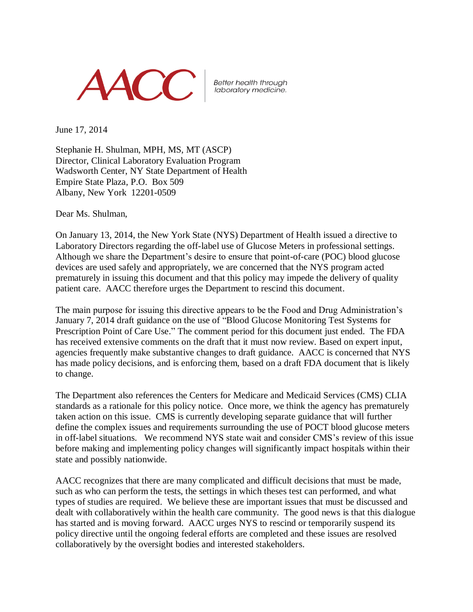

Better health through laboratory medicine.

June 17, 2014

Stephanie H. Shulman, MPH, MS, MT (ASCP) Director, Clinical Laboratory Evaluation Program Wadsworth Center, NY State Department of Health Empire State Plaza, P.O. Box 509 Albany, New York 12201-0509

Dear Ms. Shulman,

On January 13, 2014, the New York State (NYS) Department of Health issued a directive to Laboratory Directors regarding the off-label use of Glucose Meters in professional settings. Although we share the Department's desire to ensure that point-of-care (POC) blood glucose devices are used safely and appropriately, we are concerned that the NYS program acted prematurely in issuing this document and that this policy may impede the delivery of quality patient care. AACC therefore urges the Department to rescind this document.

The main purpose for issuing this directive appears to be the Food and Drug Administration's January 7, 2014 draft guidance on the use of "Blood Glucose Monitoring Test Systems for Prescription Point of Care Use." The comment period for this document just ended. The FDA has received extensive comments on the draft that it must now review. Based on expert input, agencies frequently make substantive changes to draft guidance. AACC is concerned that NYS has made policy decisions, and is enforcing them, based on a draft FDA document that is likely to change.

The Department also references the Centers for Medicare and Medicaid Services (CMS) CLIA standards as a rationale for this policy notice. Once more, we think the agency has prematurely taken action on this issue. CMS is currently developing separate guidance that will further define the complex issues and requirements surrounding the use of POCT blood glucose meters in off-label situations. We recommend NYS state wait and consider CMS's review of this issue before making and implementing policy changes will significantly impact hospitals within their state and possibly nationwide.

AACC recognizes that there are many complicated and difficult decisions that must be made, such as who can perform the tests, the settings in which theses test can performed, and what types of studies are required. We believe these are important issues that must be discussed and dealt with collaboratively within the health care community. The good news is that this dialogue has started and is moving forward. AACC urges NYS to rescind or temporarily suspend its policy directive until the ongoing federal efforts are completed and these issues are resolved collaboratively by the oversight bodies and interested stakeholders.